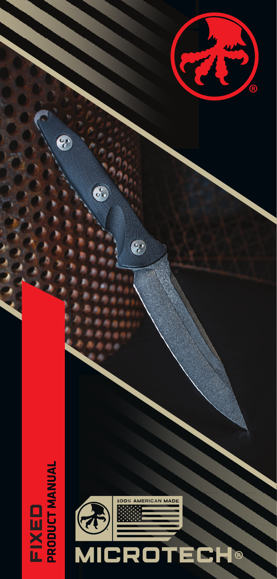

 $\overline{\mathcal{S}}$ 

C.



T